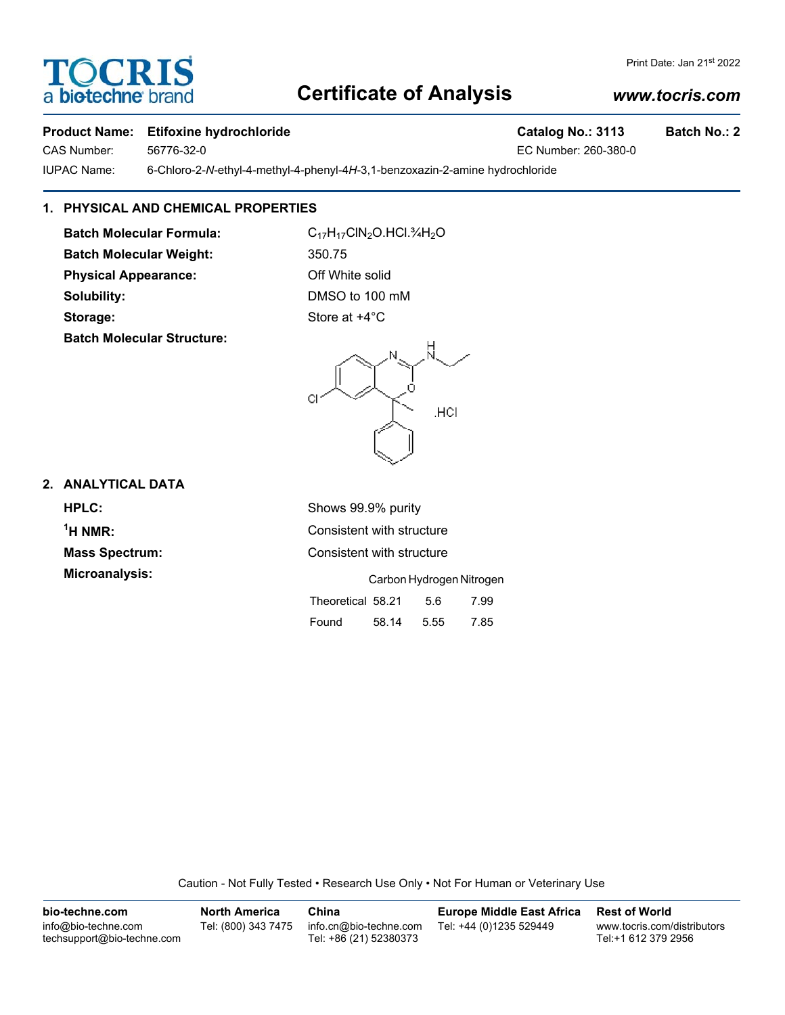# **Certificate of Analysis**

### **Product Name: Etifoxine hydrochloride Catalog No.: 3113 Batch No.: 2**

CAS Number: 56776-32-0 EC Number: 260-380-0

IUPAC Name: 6-Chloro-2-*N*-ethyl-4-methyl-4-phenyl-4*H*-3,1-benzoxazin-2-amine hydrochloride

# **1. PHYSICAL AND CHEMICAL PROPERTIES**

Batch Molecular Formula: C<sub>17</sub>H<sub>17</sub>ClN<sub>2</sub>O.HCl.¾H<sub>2</sub>O **Batch Molecular Weight:** 350.75 **Physical Appearance:** Off White solid

**Batch Molecular Structure:**

**Solubility:** DMSO to 100 mM **Storage:** Store at  $+4^{\circ}$ C

## **2. ANALYTICAL DATA**

**HPLC:** Shows 99.9% purity  $<sup>1</sup>H NMR$ :</sup> **Consistent with structure Mass Spectrum:** Consistent with structure **Microanalysis:** Carbon Hydrogen Nitrogen Theoretical 58.21 5.6 7.99

Found 58.14 5.55 7.85

Caution - Not Fully Tested • Research Use Only • Not For Human or Veterinary Use

| bio-techne.com                                    | <b>North America</b> | China                                            | <b>Europe Middle East Africa</b> | <b>Rest of World</b>                               |
|---------------------------------------------------|----------------------|--------------------------------------------------|----------------------------------|----------------------------------------------------|
| info@bio-techne.com<br>techsupport@bio-techne.com | Tel: (800) 343 7475  | info.cn@bio-techne.com<br>Tel: +86 (21) 52380373 | Tel: +44 (0)1235 529449          | www.tocris.com/distributors<br>Tel:+1 612 379 2956 |





**TOCRIS** a biotechne

### *www.tocris.com*